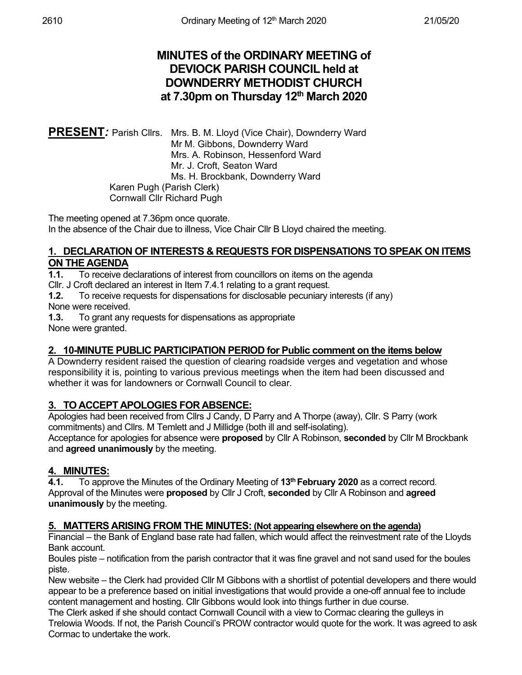# **MINUTES of the ORDINARY MEETING of DEVIOCK PARISH COUNCIL held at DOWNDERRY METHODIST CHURCH at 7.30pm on Thursday 12th March 2020**

PRESENT: Parish Cllrs. Mrs. B. M. Lloyd (Vice Chair), Downderry Ward Mr M. Gibbons, Downderry Ward Mrs. A. Robinson, Hessenford Ward Mr. J. Croft, Seaton Ward Ms. H. Brockbank, Downderry Ward Karen Pugh (Parish Clerk) Cornwall Cllr Richard Pugh

The meeting opened at 7.36pm once quorate. In the absence of the Chair due to illness, Vice Chair Cllr B Lloyd chaired the meeting.

#### **1. DECLARATION OF INTERESTS & REQUESTS FOR DISPENSATIONS TO SPEAK ON ITEMS ON THE AGENDA**

**1.1.** To receive declarations of interest from councillors on items on the agenda

Cllr. J Croft declared an interest in Item 7.4.1 relating to a grant request.

**1.2.** To receive requests for dispensations for disclosable pecuniary interests (if any) None were received.

**1.3.** To grant any requests for dispensations as appropriate None were granted.

# **2. 10-MINUTE PUBLIC PARTICIPATION PERIOD for Public comment on the items below**

A Downderry resident raised the question of clearing roadside verges and vegetation and whose responsibility it is, pointing to various previous meetings when the item had been discussed and whether it was for landowners or Cornwall Council to clear.

# **3. TO ACCEPT APOLOGIES FOR ABSENCE:**

Apologies had been received from Cllrs J Candy, D Parry and A Thorpe (away), Cllr. S Parry (work commitments) and Cllrs. M Temlett and J Millidge (both ill and self-isolating).

Acceptance for apologies for absence were **proposed** by Cllr A Robinson, **seconded** by Cllr M Brockbank and **agreed unanimously** by the meeting.

# **4. MINUTES:**

**4.1.** To approve the Minutes of the Ordinary Meeting of **13th February 2020** as a correct record. Approval of the Minutes were **proposed** by Cllr J Croft, **seconded** by Cllr A Robinson and **agreed unanimously** by the meeting.

# **5. MATTERS ARISING FROM THE MINUTES: (Not appearing elsewhere on the agenda)**

Financial – the Bank of England base rate had fallen, which would affect the reinvestment rate of the Lloyds Bank account.

Boules piste – notification from the parish contractor that it was fine gravel and not sand used for the boules piste.

New website – the Clerk had provided Cllr M Gibbons with a shortlist of potential developers and there would appear to be a preference based on initial investigations that would provide a one-off annual fee to include content management and hosting. Cllr Gibbons would look into things further in due course.

The Clerk asked if she should contact Cornwall Council with a view to Cormac clearing the gulleys in Trelowia Woods. If not, the Parish Council's PROW contractor would quote for the work. It was agreed to ask Cormac to undertake the work.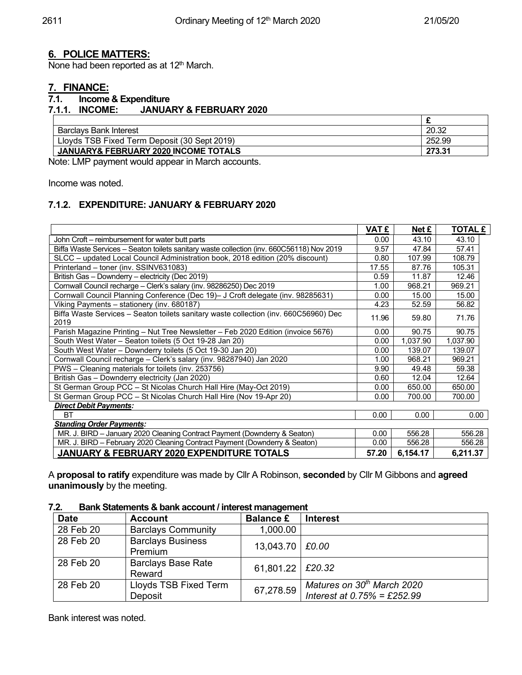#### **6. POLICE MATTERS:**

None had been reported as at 12<sup>th</sup> March.

# **7. FINANCE:**

#### **7.1. Income & Expenditure 7.1.1. INCOME: JANUARY & FEBRUARY 2020**

| Barclavs Bank Interest                          | 20.32  |
|-------------------------------------------------|--------|
| Lloyds TSB Fixed Term Deposit (30 Sept 2019)    | 252.99 |
| <b>JANUARY&amp; FEBRUARY 2020 INCOME TOTALS</b> | 273.31 |

Note: LMP payment would appear in March accounts.

Income was noted.

#### **7.1.2. EXPENDITURE: JANUARY & FEBRUARY 2020**

|                                                                                              | <b>VAT £</b> | Net £    | <b>TOTAL £</b> |
|----------------------------------------------------------------------------------------------|--------------|----------|----------------|
| John Croft – reimbursement for water butt parts                                              | 0.00         | 43.10    | 43.10          |
| Biffa Waste Services - Seaton toilets sanitary waste collection (inv. 660C56118) Nov 2019    | 9.57         | 47.84    | 57.41          |
| SLCC - updated Local Council Administration book, 2018 edition (20% discount)                | 0.80         | 107.99   | 108.79         |
| Printerland - toner (inv. SSINV631083)                                                       | 17.55        | 87.76    | 105.31         |
| British Gas - Downderry - electricity (Dec 2019)                                             | 0.59         | 11.87    | 12.46          |
| Cornwall Council recharge - Clerk's salary (inv. 98286250) Dec 2019                          | 1.00         | 968.21   | 969.21         |
| Cornwall Council Planning Conference (Dec 19)- J Croft delegate (inv. 98285631)              | 0.00         | 15.00    | 15.00          |
| Viking Payments - stationery (inv. 680187)                                                   | 4.23         | 52.59    | 56.82          |
| Biffa Waste Services - Seaton toilets sanitary waste collection (inv. 660C56960) Dec<br>2019 | 11.96        | 59.80    | 71.76          |
| Parish Magazine Printing - Nut Tree Newsletter - Feb 2020 Edition (invoice 5676)             | 0.00         | 90.75    | 90.75          |
| South West Water - Seaton toilets (5 Oct 19-28 Jan 20)                                       | 0.00         | 1,037.90 | 1,037.90       |
| South West Water - Downderry toilets (5 Oct 19-30 Jan 20)                                    | 0.00         | 139.07   | 139.07         |
| Cornwall Council recharge - Clerk's salary (inv. 98287940) Jan 2020                          | 1.00         | 968.21   | 969.21         |
| PWS - Cleaning materials for toilets (inv. 253756)                                           | 9.90         | 49.48    | 59.38          |
| British Gas - Downderry electricity (Jan 2020)                                               | 0.60         | 12.04    | 12.64          |
| St German Group PCC - St Nicolas Church Hall Hire (May-Oct 2019)                             | 0.00         | 650.00   | 650.00         |
| St German Group PCC - St Nicolas Church Hall Hire (Nov 19-Apr 20)                            | 0.00         | 700.00   | 700.00         |
| <b>Direct Debit Payments:</b>                                                                |              |          |                |
| <b>BT</b>                                                                                    | 0.00         | 0.00     | 0.00           |
| <b>Standing Order Payments:</b>                                                              |              |          |                |
| MR. J. BIRD - January 2020 Cleaning Contract Payment (Downderry & Seaton)                    | 0.00         | 556.28   | 556.28         |
| MR. J. BIRD - February 2020 Cleaning Contract Payment (Downderry & Seaton)                   | 0.00         | 556.28   | 556.28         |
| JANUARY & FEBRUARY 2020 EXPENDITURE TOTALS                                                   |              | 6,154.17 | 6,211.37       |

A **proposal to ratify** expenditure was made by Cllr A Robinson, **seconded** by Cllr M Gibbons and **agreed unanimously** by the meeting.

#### **7.2. Bank Statements & bank account / interest management**

| .           |                                     |                    |                                                           |  |  |  |
|-------------|-------------------------------------|--------------------|-----------------------------------------------------------|--|--|--|
| <b>Date</b> | <b>Account</b>                      | <b>Balance £</b>   | <b>Interest</b>                                           |  |  |  |
| 28 Feb 20   | <b>Barclays Community</b>           | 1,000.00           |                                                           |  |  |  |
| 28 Feb 20   | <b>Barclays Business</b><br>Premium | 13,043.70   £0.00  |                                                           |  |  |  |
| 28 Feb 20   | <b>Barclays Base Rate</b><br>Reward | 61,801.22   £20.32 |                                                           |  |  |  |
| 28 Feb 20   | Lloyds TSB Fixed Term<br>Deposit    | 67,278.59          | Matures on 30th March 2020<br>Interest at 0.75% = £252.99 |  |  |  |

Bank interest was noted.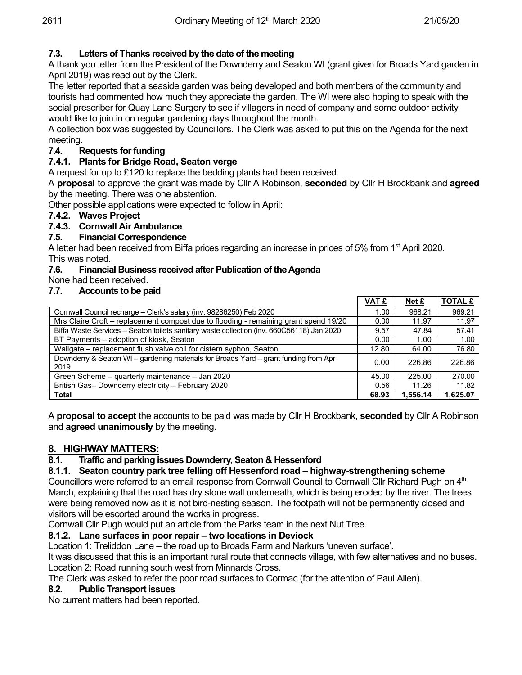# **7.3. Letters of Thanks received by the date of the meeting**

A thank you letter from the President of the Downderry and Seaton WI (grant given for Broads Yard garden in April 2019) was read out by the Clerk.

The letter reported that a seaside garden was being developed and both members of the community and tourists had commented how much they appreciate the garden. The WI were also hoping to speak with the social prescriber for Quay Lane Surgery to see if villagers in need of company and some outdoor activity would like to join in on regular gardening days throughout the month.

A collection box was suggested by Councillors. The Clerk was asked to put this on the Agenda for the next meeting.

#### **7.4. Requests for funding**

#### **7.4.1. Plants for Bridge Road, Seaton verge**

A request for up to £120 to replace the bedding plants had been received.

A **proposal** to approve the grant was made by Cllr A Robinson, **seconded** by Cllr H Brockbank and **agreed**  by the meeting. There was one abstention.

Other possible applications were expected to follow in April:

#### **7.4.2. Waves Project**

#### **7.4.3. Cornwall Air Ambulance**

#### **7.5. Financial Correspondence**

A letter had been received from Biffa prices regarding an increase in prices of 5% from 1<sup>st</sup> April 2020. This was noted.

#### **7.6. Financial Business received after Publication of the Agenda**

None had been received.

#### **7.7. Accounts to be paid**

|                                                                                              | <b>VAT £</b> | <u>Net £</u>      | <b>TOTAL £</b> |
|----------------------------------------------------------------------------------------------|--------------|-------------------|----------------|
| Cornwall Council recharge - Clerk's salary (inv. 98286250) Feb 2020                          | 1.00         | 968.21            | 969.21         |
| Mrs Claire Croft - replacement compost due to flooding - remaining grant spend 19/20         | 0.00         | 11.97             | 11.97          |
| Biffa Waste Services - Seaton toilets sanitary waste collection (inv. 660C56118) Jan 2020    | 9.57         | 47.84             | 57.41          |
| BT Payments – adoption of kiosk, Seaton                                                      | 0.00         | 1.00 <sub>1</sub> | 1.00           |
| Wallgate – replacement flush valve coil for cistern syphon, Seaton                           | 12.80        | 64.00             | 76.80          |
| Downderry & Seaton WI - gardening materials for Broads Yard - grant funding from Apr<br>2019 | 0.00         | 226.86            | 226.86         |
| Green Scheme - quarterly maintenance - Jan 2020                                              | 45.00        | 225.00            | 270.00         |
| British Gas- Downderry electricity - February 2020                                           | 0.56         | 11.26             | 11.82          |
| <b>Total</b>                                                                                 | 68.93        | 1.556.14          | 1,625.07       |

A **proposal to accept** the accounts to be paid was made by Cllr H Brockbank, **seconded** by Cllr A Robinson and **agreed unanimously** by the meeting.

#### **8. HIGHWAY MATTERS:**

#### **8.1. Traffic and parking issues Downderry, Seaton & Hessenford**

#### **8.1.1. Seaton country park tree felling off Hessenford road – highway-strengthening scheme**

Councillors were referred to an email response from Cornwall Council to Cornwall Cllr Richard Pugh on 4<sup>th</sup> March, explaining that the road has dry stone wall underneath, which is being eroded by the river. The trees were being removed now as it is not bird-nesting season. The footpath will not be permanently closed and visitors will be escorted around the works in progress.

Cornwall Cllr Pugh would put an article from the Parks team in the next Nut Tree.

#### **8.1.2. Lane surfaces in poor repair – two locations in Deviock**

Location 1: Treliddon Lane – the road up to Broads Farm and Narkurs 'uneven surface'.

It was discussed that this is an important rural route that connects village, with few alternatives and no buses. Location 2: Road running south west from Minnards Cross.

The Clerk was asked to refer the poor road surfaces to Cormac (for the attention of Paul Allen).

#### **8.2. Public Transport issues**

No current matters had been reported.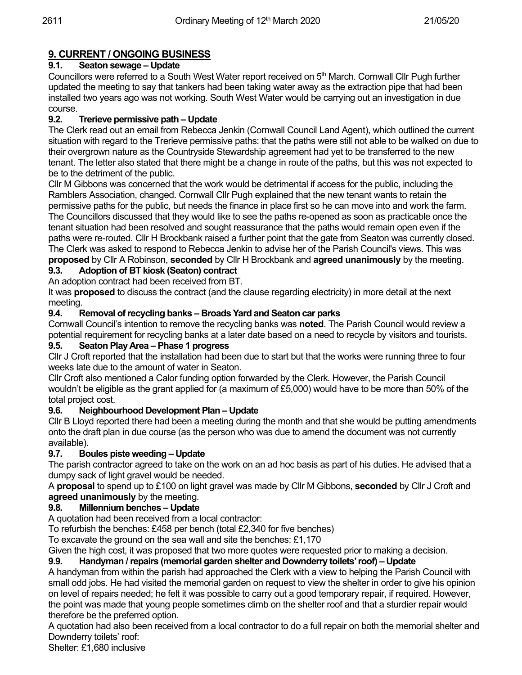# **9. CURRENT / ONGOING BUSINESS**

# **9.1. Seaton sewage – Update**

Councillors were referred to a South West Water report received on  $5<sup>th</sup>$  March. Cornwall Cllr Pugh further updated the meeting to say that tankers had been taking water away as the extraction pipe that had been installed two years ago was not working. South West Water would be carrying out an investigation in due course.

# **9.2. Trerieve permissive path – Update**

The Clerk read out an email from Rebecca Jenkin (Cornwall Council Land Agent), which outlined the current situation with regard to the Trerieve permissive paths: that the paths were still not able to be walked on due to their overgrown nature as the Countryside Stewardship agreement had yet to be transferred to the new tenant. The letter also stated that there might be a change in route of the paths, but this was not expected to be to the detriment of the public.

Cllr M Gibbons was concerned that the work would be detrimental if access for the public, including the Ramblers Association, changed. Cornwall Cllr Pugh explained that the new tenant wants to retain the permissive paths for the public, but needs the finance in place first so he can move into and work the farm. The Councillors discussed that they would like to see the paths re-opened as soon as practicable once the tenant situation had been resolved and sought reassurance that the paths would remain open even if the paths were re-routed. Cllr H Brockbank raised a further point that the gate from Seaton was currently closed. The Clerk was asked to respond to Rebecca Jenkin to advise her of the Parish Council's views. This was

**proposed** by Cllr A Robinson, **seconded** by Cllr H Brockbank and **agreed unanimously** by the meeting.

# **9.3. Adoption of BT kiosk (Seaton) contract**

An adoption contract had been received from BT.

It was **proposed** to discuss the contract (and the clause regarding electricity) in more detail at the next meeting.

#### **9.4. Removal of recycling banks – Broads Yard and Seaton car parks**

Cornwall Council's intention to remove the recycling banks was **noted**. The Parish Council would review a potential requirement for recycling banks at a later date based on a need to recycle by visitors and tourists.

# **9.5. Seaton Play Area – Phase 1 progress**

Cllr J Croft reported that the installation had been due to start but that the works were running three to four weeks late due to the amount of water in Seaton.

Cllr Croft also mentioned a Calor funding option forwarded by the Clerk. However, the Parish Council wouldn't be eligible as the grant applied for (a maximum of £5,000) would have to be more than 50% of the total project cost.

# **9.6. Neighbourhood Development Plan – Update**

Cllr B Lloyd reported there had been a meeting during the month and that she would be putting amendments onto the draft plan in due course (as the person who was due to amend the document was not currently available).

# **9.7. Boules piste weeding – Update**

The parish contractor agreed to take on the work on an ad hoc basis as part of his duties. He advised that a dumpy sack of light gravel would be needed.

A **proposal** to spend up to £100 on light gravel was made by Cllr M Gibbons, **seconded** by Cllr J Croft and **agreed unanimously** by the meeting.<br>**9.8.** Millennium benches – Update

# **9.8. Millennium benches – Update**

A quotation had been received from a local contractor:

To refurbish the benches: £458 per bench (total £2,340 for five benches)

To excavate the ground on the sea wall and site the benches: £1,170

Given the high cost, it was proposed that two more quotes were requested prior to making a decision.

# **9.9. Handyman / repairs (memorial garden shelter and Downderry toilets' roof) – Update**

A handyman from within the parish had approached the Clerk with a view to helping the Parish Council with small odd jobs. He had visited the memorial garden on request to view the shelter in order to give his opinion on level of repairs needed; he felt it was possible to carry out a good temporary repair, if required. However, the point was made that young people sometimes climb on the shelter roof and that a sturdier repair would therefore be the preferred option.

A quotation had also been received from a local contractor to do a full repair on both the memorial shelter and Downderry toilets' roof:

Shelter: £1,680 inclusive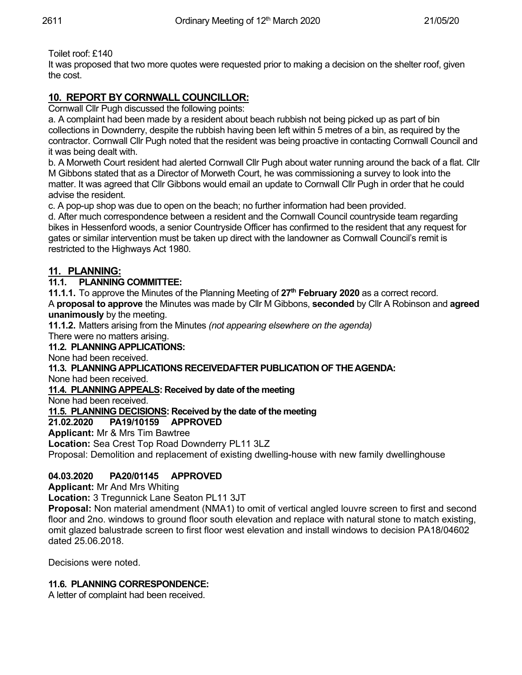Toilet roof: £140

It was proposed that two more quotes were requested prior to making a decision on the shelter roof, given the cost.

# **10. REPORT BY CORNWALL COUNCILLOR:**

Cornwall Cllr Pugh discussed the following points:

a. A complaint had been made by a resident about beach rubbish not being picked up as part of bin collections in Downderry, despite the rubbish having been left within 5 metres of a bin, as required by the contractor. Cornwall Cllr Pugh noted that the resident was being proactive in contacting Cornwall Council and it was being dealt with.

b. A Morweth Court resident had alerted Cornwall Cllr Pugh about water running around the back of a flat. Cllr M Gibbons stated that as a Director of Morweth Court, he was commissioning a survey to look into the matter. It was agreed that Cllr Gibbons would email an update to Cornwall Cllr Pugh in order that he could advise the resident.

c. A pop-up shop was due to open on the beach; no further information had been provided.

d. After much correspondence between a resident and the Cornwall Council countryside team regarding bikes in Hessenford woods, a senior Countryside Officer has confirmed to the resident that any request for gates or similar intervention must be taken up direct with the landowner as Cornwall Council's remit is restricted to the Highways Act 1980.

# **11. PLANNING:**

#### **11.1. PLANNING COMMITTEE:**

**11.1.1.** To approve the Minutes of the Planning Meeting of 27<sup>th</sup> February 2020 as a correct record. A **proposal to approve** the Minutes was made by Cllr M Gibbons, **seconded** by Cllr A Robinson and **agreed unanimously** by the meeting.

**11.1.2.** Matters arising from the Minutes *(not appearing elsewhere on the agenda)* There were no matters arising.

# **11.2. PLANNING APPLICATIONS:**

None had been received.

**11.3. PLANNING APPLICATIONS RECEIVEDAFTER PUBLICATION OF THE AGENDA:**

None had been received.

**11.4. PLANNING APPEALS: Received by date of the meeting**

None had been received.

**11.5. PLANNING DECISIONS: Received by the date of the meeting**

# **21.02.2020 PA19/10159 APPROVED**

**Applicant:** Mr & Mrs Tim Bawtree

**Location:** Sea Crest Top Road Downderry PL11 3LZ Proposal: Demolition and replacement of existing dwelling-house with new family dwellinghouse

# **04.03.2020 PA20/01145 APPROVED**

**Applicant:** Mr And Mrs Whiting

**Location:** 3 Tregunnick Lane Seaton PL11 3JT

**Proposal:** Non material amendment (NMA1) to omit of vertical angled louvre screen to first and second floor and 2no. windows to ground floor south elevation and replace with natural stone to match existing, omit glazed balustrade screen to first floor west elevation and install windows to decision PA18/04602 dated 25.06.2018.

Decisions were noted.

# **11.6. PLANNING CORRESPONDENCE:**

A letter of complaint had been received.